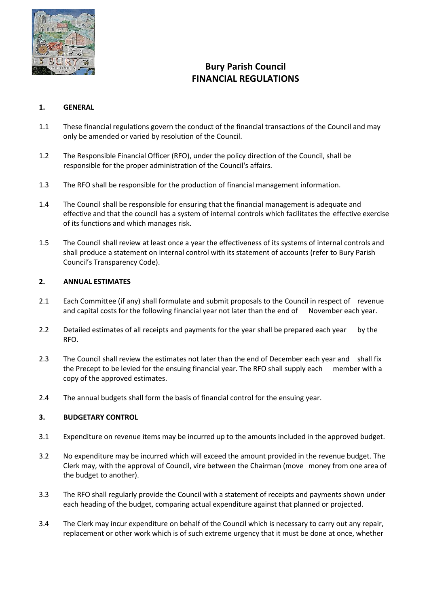

# **Bury Parish Council FINANCIAL REGULATIONS**

## **1. GENERAL**

- 1.1 These financial regulations govern the conduct of the financial transactions of the Council and may only be amended or varied by resolution of the Council.
- 1.2 The Responsible Financial Officer (RFO), under the policy direction of the Council, shall be responsible for the proper administration of the Council's affairs.
- 1.3 The RFO shall be responsible for the production of financial management information.
- 1.4 The Council shall be responsible for ensuring that the financial management is adequate and effective and that the council has a system of internal controls which facilitates the effective exercise of its functions and which manages risk.
- 1.5 The Council shall review at least once a year the effectiveness of its systems of internal controls and shall produce a statement on internal control with its statement of accounts (refer to Bury Parish Council's Transparency Code).

## **2. ANNUAL ESTIMATES**

- 2.1 Each Committee (if any) shall formulate and submit proposals to the Council in respect of revenue and capital costs for the following financial year not later than the end of November each year.
- 2.2 Detailed estimates of all receipts and payments for the year shall be prepared each year by the RFO.
- 2.3 The Council shall review the estimates not later than the end of December each year and shall fix the Precept to be levied for the ensuing financial year. The RFO shall supply each member with a copy of the approved estimates.
- 2.4 The annual budgets shall form the basis of financial control for the ensuing year.

#### **3. BUDGETARY CONTROL**

- 3.1 Expenditure on revenue items may be incurred up to the amounts included in the approved budget.
- 3.2 No expenditure may be incurred which will exceed the amount provided in the revenue budget. The Clerk may, with the approval of Council, vire between the Chairman (move money from one area of the budget to another).
- 3.3 The RFO shall regularly provide the Council with a statement of receipts and payments shown under each heading of the budget, comparing actual expenditure against that planned or projected.
- 3.4 The Clerk may incur expenditure on behalf of the Council which is necessary to carry out any repair, replacement or other work which is of such extreme urgency that it must be done at once, whether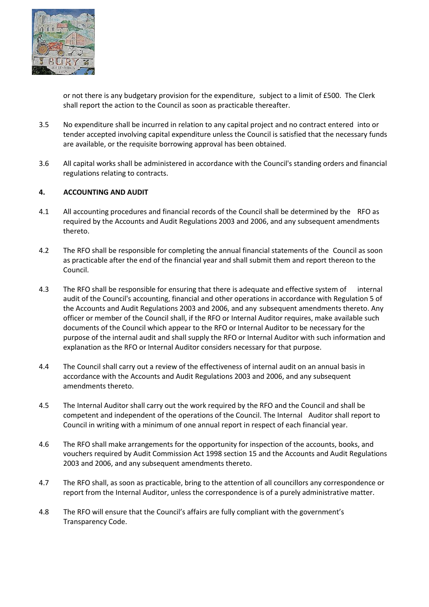

or not there is any budgetary provision for the expenditure, subject to a limit of £500. The Clerk shall report the action to the Council as soon as practicable thereafter.

- 3.5 No expenditure shall be incurred in relation to any capital project and no contract entered into or tender accepted involving capital expenditure unless the Council is satisfied that the necessary funds are available, or the requisite borrowing approval has been obtained.
- 3.6 All capital works shall be administered in accordance with the Council's standing orders and financial regulations relating to contracts.

#### **4. ACCOUNTING AND AUDIT**

- 4.1 All accounting procedures and financial records of the Council shall be determined by the RFO as required by the Accounts and Audit Regulations 2003 and 2006, and any subsequent amendments thereto.
- 4.2 The RFO shall be responsible for completing the annual financial statements of the Council as soon as practicable after the end of the financial year and shall submit them and report thereon to the Council.
- 4.3 The RFO shall be responsible for ensuring that there is adequate and effective system of internal audit of the Council's accounting, financial and other operations in accordance with Regulation 5 of the Accounts and Audit Regulations 2003 and 2006, and any subsequent amendments thereto. Any officer or member of the Council shall, if the RFO or Internal Auditor requires, make available such documents of the Council which appear to the RFO or Internal Auditor to be necessary for the purpose of the internal audit and shall supply the RFO or Internal Auditor with such information and explanation as the RFO or Internal Auditor considers necessary for that purpose.
- 4.4 The Council shall carry out a review of the effectiveness of internal audit on an annual basis in accordance with the Accounts and Audit Regulations 2003 and 2006, and any subsequent amendments thereto.
- 4.5 The Internal Auditor shall carry out the work required by the RFO and the Council and shall be competent and independent of the operations of the Council. The Internal Auditor shall report to Council in writing with a minimum of one annual report in respect of each financial year.
- 4.6 The RFO shall make arrangements for the opportunity for inspection of the accounts, books, and vouchers required by Audit Commission Act 1998 section 15 and the Accounts and Audit Regulations 2003 and 2006, and any subsequent amendments thereto.
- 4.7 The RFO shall, as soon as practicable, bring to the attention of all councillors any correspondence or report from the Internal Auditor, unless the correspondence is of a purely administrative matter.
- 4.8 The RFO will ensure that the Council's affairs are fully compliant with the government's Transparency Code.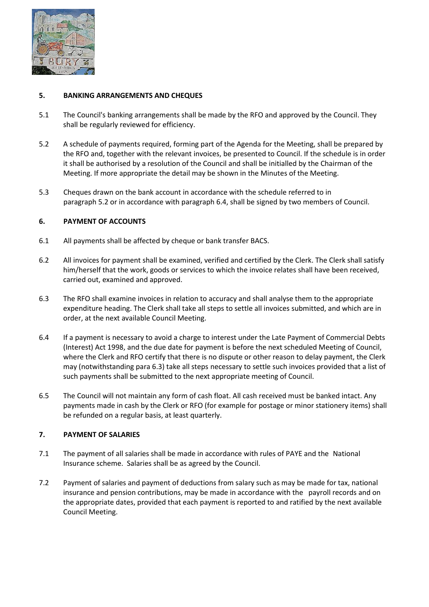

## **5. BANKING ARRANGEMENTS AND CHEQUES**

- 5.1 The Council's banking arrangements shall be made by the RFO and approved by the Council. They shall be regularly reviewed for efficiency.
- 5.2 A schedule of payments required, forming part of the Agenda for the Meeting, shall be prepared by the RFO and, together with the relevant invoices, be presented to Council. If the schedule is in order it shall be authorised by a resolution of the Council and shall be initialled by the Chairman of the Meeting. If more appropriate the detail may be shown in the Minutes of the Meeting.
- 5.3 Cheques drawn on the bank account in accordance with the schedule referred to in paragraph 5.2 or in accordance with paragraph 6.4, shall be signed by two members of Council.

## **6. PAYMENT OF ACCOUNTS**

- 6.1 All payments shall be affected by cheque or bank transfer BACS.
- 6.2 All invoices for payment shall be examined, verified and certified by the Clerk. The Clerk shall satisfy him/herself that the work, goods or services to which the invoice relates shall have been received, carried out, examined and approved.
- 6.3 The RFO shall examine invoices in relation to accuracy and shall analyse them to the appropriate expenditure heading. The Clerk shall take all steps to settle all invoices submitted, and which are in order, at the next available Council Meeting.
- 6.4 If a payment is necessary to avoid a charge to interest under the Late Payment of Commercial Debts (Interest) Act 1998, and the due date for payment is before the next scheduled Meeting of Council, where the Clerk and RFO certify that there is no dispute or other reason to delay payment, the Clerk may (notwithstanding para 6.3) take all steps necessary to settle such invoices provided that a list of such payments shall be submitted to the next appropriate meeting of Council.
- 6.5 The Council will not maintain any form of cash float. All cash received must be banked intact. Any payments made in cash by the Clerk or RFO (for example for postage or minor stationery items) shall be refunded on a regular basis, at least quarterly.

#### **7. PAYMENT OF SALARIES**

- 7.1 The payment of all salaries shall be made in accordance with rules of PAYE and the National Insurance scheme. Salaries shall be as agreed by the Council.
- 7.2 Payment of salaries and payment of deductions from salary such as may be made for tax, national insurance and pension contributions, may be made in accordance with the payroll records and on the appropriate dates, provided that each payment is reported to and ratified by the next available Council Meeting.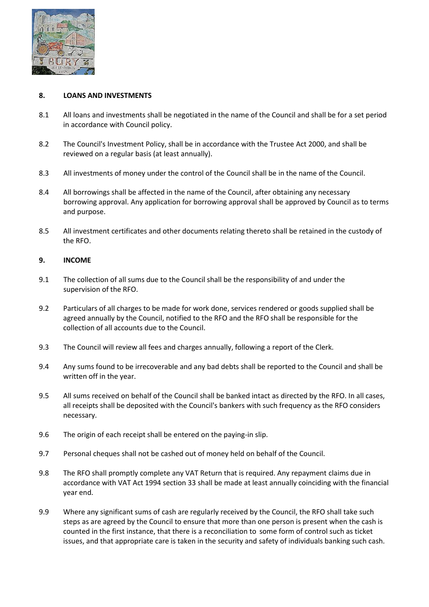

## **8. LOANS AND INVESTMENTS**

- 8.1 All loans and investments shall be negotiated in the name of the Council and shall be for a set period in accordance with Council policy.
- 8.2 The Council's Investment Policy, shall be in accordance with the Trustee Act 2000, and shall be reviewed on a regular basis (at least annually).
- 8.3 All investments of money under the control of the Council shall be in the name of the Council.
- 8.4 All borrowings shall be affected in the name of the Council, after obtaining any necessary borrowing approval. Any application for borrowing approval shall be approved by Council as to terms and purpose.
- 8.5 All investment certificates and other documents relating thereto shall be retained in the custody of the RFO.

## **9. INCOME**

- 9.1 The collection of all sums due to the Council shall be the responsibility of and under the supervision of the RFO.
- 9.2 Particulars of all charges to be made for work done, services rendered or goods supplied shall be agreed annually by the Council, notified to the RFO and the RFO shall be responsible for the collection of all accounts due to the Council.
- 9.3 The Council will review all fees and charges annually, following a report of the Clerk.
- 9.4 Any sums found to be irrecoverable and any bad debts shall be reported to the Council and shall be written off in the year.
- 9.5 All sums received on behalf of the Council shall be banked intact as directed by the RFO. In all cases, all receipts shall be deposited with the Council's bankers with such frequency as the RFO considers necessary.
- 9.6 The origin of each receipt shall be entered on the paying-in slip.
- 9.7 Personal cheques shall not be cashed out of money held on behalf of the Council.
- 9.8 The RFO shall promptly complete any VAT Return that is required. Any repayment claims due in accordance with VAT Act 1994 section 33 shall be made at least annually coinciding with the financial year end.
- 9.9 Where any significant sums of cash are regularly received by the Council, the RFO shall take such steps as are agreed by the Council to ensure that more than one person is present when the cash is counted in the first instance, that there is a reconciliation to some form of control such as ticket issues, and that appropriate care is taken in the security and safety of individuals banking such cash.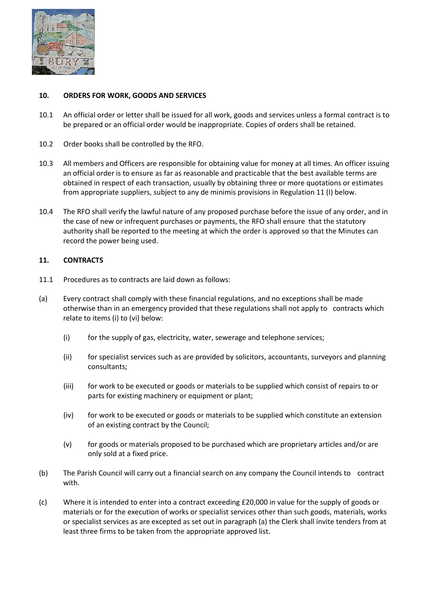

## **10. ORDERS FOR WORK, GOODS AND SERVICES**

- 10.1 An official order or letter shall be issued for all work, goods and services unless a formal contract is to be prepared or an official order would be inappropriate. Copies of orders shall be retained.
- 10.2 Order books shall be controlled by the RFO.
- 10.3 All members and Officers are responsible for obtaining value for money at all times. An officer issuing an official order is to ensure as far as reasonable and practicable that the best available terms are obtained in respect of each transaction, usually by obtaining three or more quotations or estimates from appropriate suppliers, subject to any de minimis provisions in Regulation 11 (I) below.
- 10.4 The RFO shall verify the lawful nature of any proposed purchase before the issue of any order, and in the case of new or infrequent purchases or payments, the RFO shall ensure that the statutory authority shall be reported to the meeting at which the order is approved so that the Minutes can record the power being used.

# **11. CONTRACTS**

- 11.1 Procedures as to contracts are laid down as follows:
- (a) Every contract shall comply with these financial regulations, and no exceptions shall be made otherwise than in an emergency provided that these regulations shall not apply to contracts which relate to items (i) to (vi) below:
	- (i) for the supply of gas, electricity, water, sewerage and telephone services;
	- (ii) for specialist services such as are provided by solicitors, accountants, surveyors and planning consultants;
	- (iii) for work to be executed or goods or materials to be supplied which consist of repairs to or parts for existing machinery or equipment or plant;
	- (iv) for work to be executed or goods or materials to be supplied which constitute an extension of an existing contract by the Council;
	- (v) for goods or materials proposed to be purchased which are proprietary articles and/or are only sold at a fixed price.
- (b) The Parish Council will carry out a financial search on any company the Council intends to contract with.
- (c) Where it is intended to enter into a contract exceeding £20,000 in value for the supply of goods or materials or for the execution of works or specialist services other than such goods, materials, works or specialist services as are excepted as set out in paragraph (a) the Clerk shall invite tenders from at least three firms to be taken from the appropriate approved list.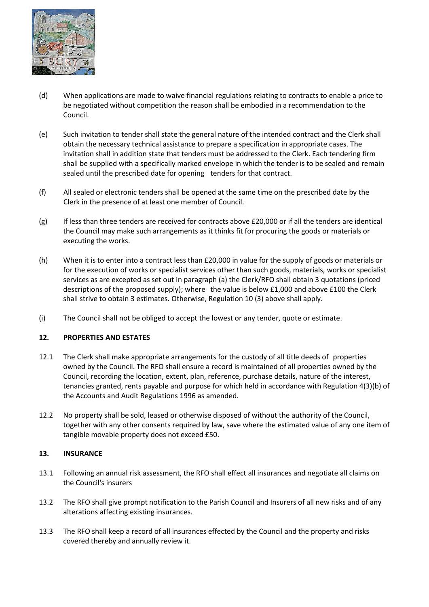

- (d) When applications are made to waive financial regulations relating to contracts to enable a price to be negotiated without competition the reason shall be embodied in a recommendation to the Council.
- (e) Such invitation to tender shall state the general nature of the intended contract and the Clerk shall obtain the necessary technical assistance to prepare a specification in appropriate cases. The invitation shall in addition state that tenders must be addressed to the Clerk. Each tendering firm shall be supplied with a specifically marked envelope in which the tender is to be sealed and remain sealed until the prescribed date for opening tenders for that contract.
- (f) All sealed or electronic tenders shall be opened at the same time on the prescribed date by the Clerk in the presence of at least one member of Council.
- (g) If less than three tenders are received for contracts above £20,000 or if all the tenders are identical the Council may make such arrangements as it thinks fit for procuring the goods or materials or executing the works.
- (h) When it is to enter into a contract less than £20,000 in value for the supply of goods or materials or for the execution of works or specialist services other than such goods, materials, works or specialist services as are excepted as set out in paragraph (a) the Clerk/RFO shall obtain 3 quotations (priced descriptions of the proposed supply); where the value is below £1,000 and above £100 the Clerk shall strive to obtain 3 estimates. Otherwise, Regulation 10 (3) above shall apply.
- (i) The Council shall not be obliged to accept the lowest or any tender, quote or estimate.

# **12. PROPERTIES AND ESTATES**

- 12.1 The Clerk shall make appropriate arrangements for the custody of all title deeds of properties owned by the Council. The RFO shall ensure a record is maintained of all properties owned by the Council, recording the location, extent, plan, reference, purchase details, nature of the interest, tenancies granted, rents payable and purpose for which held in accordance with Regulation 4(3)(b) of the Accounts and Audit Regulations 1996 as amended.
- 12.2 No property shall be sold, leased or otherwise disposed of without the authority of the Council, together with any other consents required by law, save where the estimated value of any one item of tangible movable property does not exceed £50.

#### **13. INSURANCE**

- 13.1 Following an annual risk assessment, the RFO shall effect all insurances and negotiate all claims on the Council's insurers
- 13.2 The RFO shall give prompt notification to the Parish Council and Insurers of all new risks and of any alterations affecting existing insurances.
- 13.3 The RFO shall keep a record of all insurances effected by the Council and the property and risks covered thereby and annually review it.